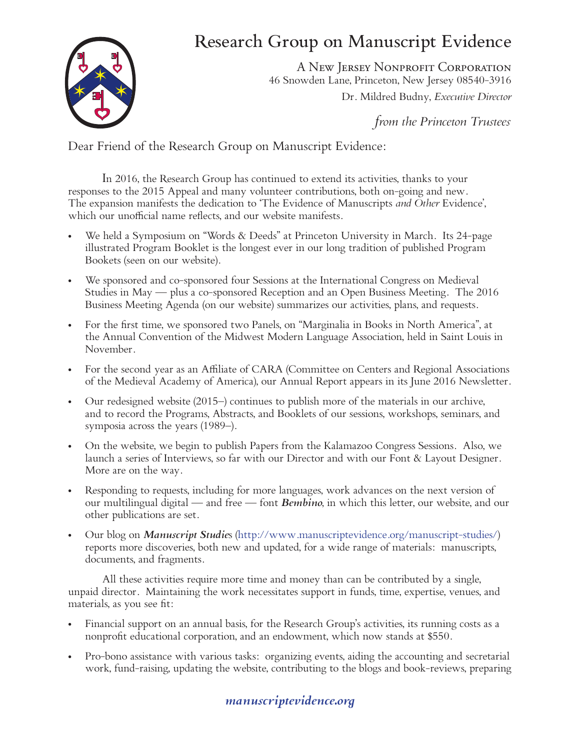## Research Group on Manuscript Evidence



A New Jersey Nonprofit Corporation 46 Snowden Lane, Princeton, New Jersey 08540-3916 Dr. Mildred Budny, *Executive Director*

*from the Princeton Trustees*

Dear Friend of the Research Group on Manuscript Evidence:

In 2016, the Research Group has continued to extend its activities, thanks to your responses to the 2015 Appeal and many volunteer contributions, both on-going and new. The expansion manifests the dedication to 'The Evidence of Manuscripts *and Other* Evidence', which our unofficial name reflects, and our website manifests.

- We held a Symposium on "Words  $\&$  Deeds" at Princeton University in March. Its 24-page illustrated Program Booklet is the longest ever in our long tradition of published Program Bookets (seen on our website).
- We sponsored and co-sponsored four Sessions at the International Congress on Medieval Studies in May — plus a co-sponsored Reception and an Open Business Meeting. The 2016 Business Meeting Agenda (on our website) summarizes our activities, plans, and requests.
- For the first time, we sponsored two Panels, on "Marginalia in Books in North America", at the Annual Convention of the Midwest Modern Language Association, held in Saint Louis in November.
- For the second year as an Affiliate of CARA (Committee on Centers and Regional Associations of the Medieval Academy of America), our Annual Report appears in its June 2016 Newsletter.
- Our redesigned website (2015–) continues to publish more of the materials in our archive, and to record the Programs, Abstracts, and Booklets of our sessions, workshops, seminars, and symposia across the years (1989–).
- • On the website, we begin to publish Papers from the Kalamazoo Congress Sessions. Also, we launch a series of Interviews, so far with our Director and with our Font & Layout Designer. More are on the way.
- Responding to requests, including for more languages, work advances on the next version of our multilingual digital — and free — font *Bembino*, in which this letter, our website, and our other publications are set.
- • Our blog on *Manuscript Studie*s (http://www.manuscriptevidence.org/manuscript-studies/) reports more discoveries, both new and updated, for a wide range of materials: manuscripts, documents, and fragments.

All these activities require more time and money than can be contributed by a single, unpaid director. Maintaining the work necessitates support in funds, time, expertise, venues, and materials, as you see fit:

- Financial support on an annual basis, for the Research Group's activities, its running costs as a nonprofit educational corporation, and an endowment, which now stands at \$550.
- Pro-bono assistance with various tasks: organizing events, aiding the accounting and secretarial work, fund-raising, updating the website, contributing to the blogs and book-reviews, preparing